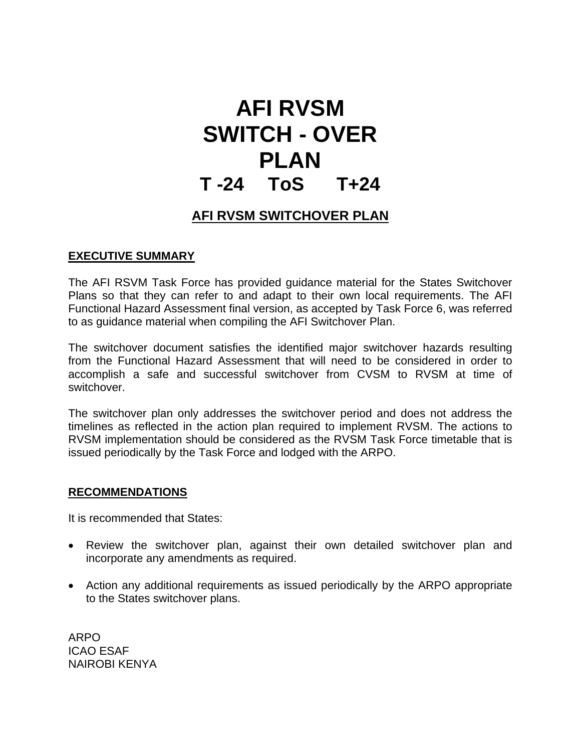# **AFI RVSM SWITCH - OVER PLAN T -24 ToS T+24**

# **AFI RVSM SWITCHOVER PLAN**

# **EXECUTIVE SUMMARY**

The AFI RSVM Task Force has provided guidance material for the States Switchover Plans so that they can refer to and adapt to their own local requirements. The AFI Functional Hazard Assessment final version, as accepted by Task Force 6, was referred to as guidance material when compiling the AFI Switchover Plan.

The switchover document satisfies the identified major switchover hazards resulting from the Functional Hazard Assessment that will need to be considered in order to accomplish a safe and successful switchover from CVSM to RVSM at time of switchover.

The switchover plan only addresses the switchover period and does not address the timelines as reflected in the action plan required to implement RVSM. The actions to RVSM implementation should be considered as the RVSM Task Force timetable that is issued periodically by the Task Force and lodged with the ARPO.

# **RECOMMENDATIONS**

It is recommended that States:

- Review the switchover plan, against their own detailed switchover plan and incorporate any amendments as required.
- Action any additional requirements as issued periodically by the ARPO appropriate to the States switchover plans.

ARPO ICAO ESAF NAIROBI KENYA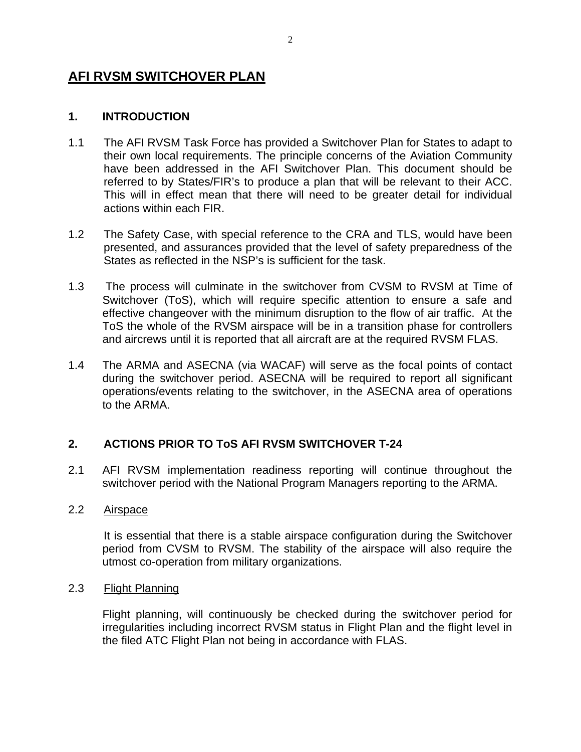# **AFI RVSM SWITCHOVER PLAN**

# **1. INTRODUCTION**

- 1.1 The AFI RVSM Task Force has provided a Switchover Plan for States to adapt to their own local requirements. The principle concerns of the Aviation Community have been addressed in the AFI Switchover Plan. This document should be referred to by States/FIR's to produce a plan that will be relevant to their ACC. This will in effect mean that there will need to be greater detail for individual actions within each FIR.
- 1.2 The Safety Case, with special reference to the CRA and TLS, would have been presented, and assurances provided that the level of safety preparedness of the States as reflected in the NSP's is sufficient for the task.
- 1.3 The process will culminate in the switchover from CVSM to RVSM at Time of Switchover (ToS), which will require specific attention to ensure a safe and effective changeover with the minimum disruption to the flow of air traffic. At the ToS the whole of the RVSM airspace will be in a transition phase for controllers and aircrews until it is reported that all aircraft are at the required RVSM FLAS.
- 1.4 The ARMA and ASECNA (via WACAF) will serve as the focal points of contact during the switchover period. ASECNA will be required to report all significant operations/events relating to the switchover, in the ASECNA area of operations to the ARMA.

# **2. ACTIONS PRIOR TO ToS AFI RVSM SWITCHOVER T-24**

2.1 AFI RVSM implementation readiness reporting will continue throughout the switchover period with the National Program Managers reporting to the ARMA.

#### 2.2 Airspace

 It is essential that there is a stable airspace configuration during the Switchover period from CVSM to RVSM. The stability of the airspace will also require the utmost co-operation from military organizations.

#### 2.3 Flight Planning

Flight planning, will continuously be checked during the switchover period for irregularities including incorrect RVSM status in Flight Plan and the flight level in the filed ATC Flight Plan not being in accordance with FLAS.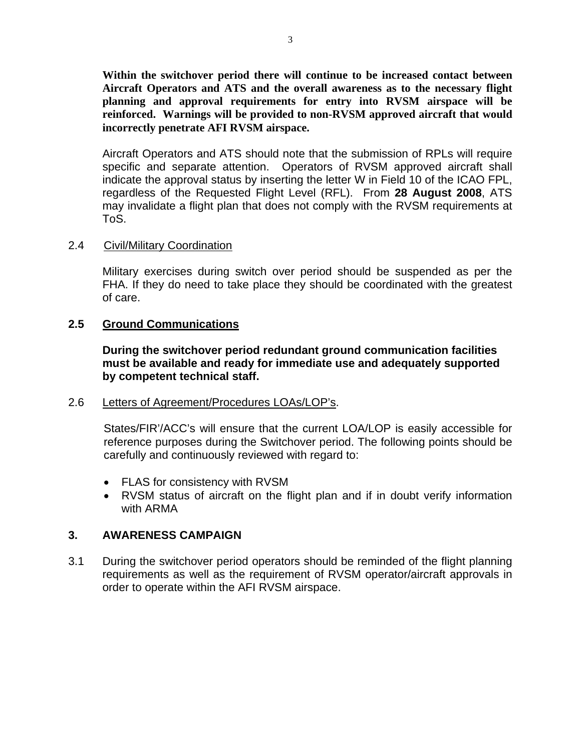**Within the switchover period there will continue to be increased contact between Aircraft Operators and ATS and the overall awareness as to the necessary flight planning and approval requirements for entry into RVSM airspace will be reinforced. Warnings will be provided to non-RVSM approved aircraft that would incorrectly penetrate AFI RVSM airspace.** 

Aircraft Operators and ATS should note that the submission of RPLs will require specific and separate attention. Operators of RVSM approved aircraft shall indicate the approval status by inserting the letter W in Field 10 of the ICAO FPL, regardless of the Requested Flight Level (RFL). From **28 August 2008**, ATS may invalidate a flight plan that does not comply with the RVSM requirements at ToS.

## 2.4 Civil/Military Coordination

Military exercises during switch over period should be suspended as per the FHA. If they do need to take place they should be coordinated with the greatest of care.

# **2.5 Ground Communications**

**During the switchover period redundant ground communication facilities must be available and ready for immediate use and adequately supported by competent technical staff.** 

#### 2.6 Letters of Agreement/Procedures LOAs/LOP's.

States/FIR'/ACC's will ensure that the current LOA/LOP is easily accessible for reference purposes during the Switchover period. The following points should be carefully and continuously reviewed with regard to:

- FLAS for consistency with RVSM
- RVSM status of aircraft on the flight plan and if in doubt verify information with ARMA

# **3. AWARENESS CAMPAIGN**

3.1 During the switchover period operators should be reminded of the flight planning requirements as well as the requirement of RVSM operator/aircraft approvals in order to operate within the AFI RVSM airspace.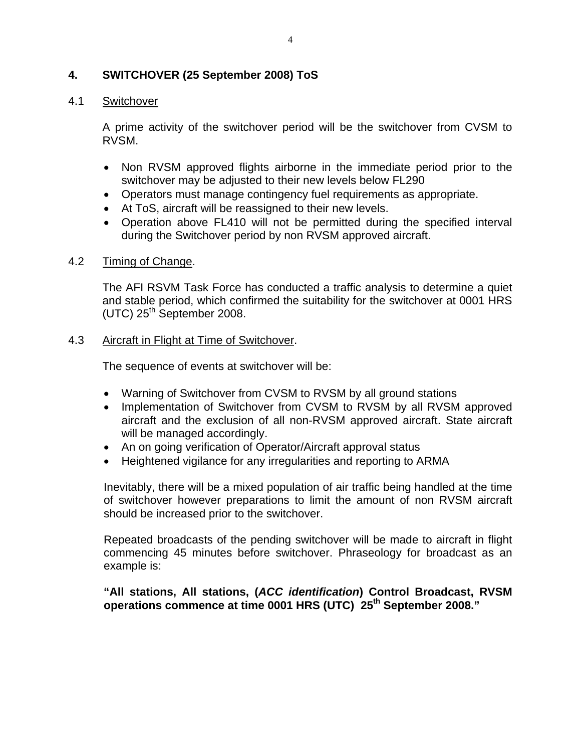# **4. SWITCHOVER (25 September 2008) ToS**

#### 4.1 Switchover

A prime activity of the switchover period will be the switchover from CVSM to RVSM.

- Non RVSM approved flights airborne in the immediate period prior to the switchover may be adjusted to their new levels below FL290
- Operators must manage contingency fuel requirements as appropriate.
- At ToS, aircraft will be reassigned to their new levels.
- Operation above FL410 will not be permitted during the specified interval during the Switchover period by non RVSM approved aircraft.

## 4.2 Timing of Change.

The AFI RSVM Task Force has conducted a traffic analysis to determine a quiet and stable period, which confirmed the suitability for the switchover at 0001 HRS  $(UTC)$  25<sup>th</sup> September 2008.

## 4.3 Aircraft in Flight at Time of Switchover.

The sequence of events at switchover will be:

- Warning of Switchover from CVSM to RVSM by all ground stations
- Implementation of Switchover from CVSM to RVSM by all RVSM approved aircraft and the exclusion of all non-RVSM approved aircraft. State aircraft will be managed accordingly.
- An on going verification of Operator/Aircraft approval status
- Heightened vigilance for any irregularities and reporting to ARMA

Inevitably, there will be a mixed population of air traffic being handled at the time of switchover however preparations to limit the amount of non RVSM aircraft should be increased prior to the switchover.

Repeated broadcasts of the pending switchover will be made to aircraft in flight commencing 45 minutes before switchover. Phraseology for broadcast as an example is:

**"All stations, All stations, (***ACC identification***) Control Broadcast, RVSM operations commence at time 0001 HRS (UTC) 25th September 2008."**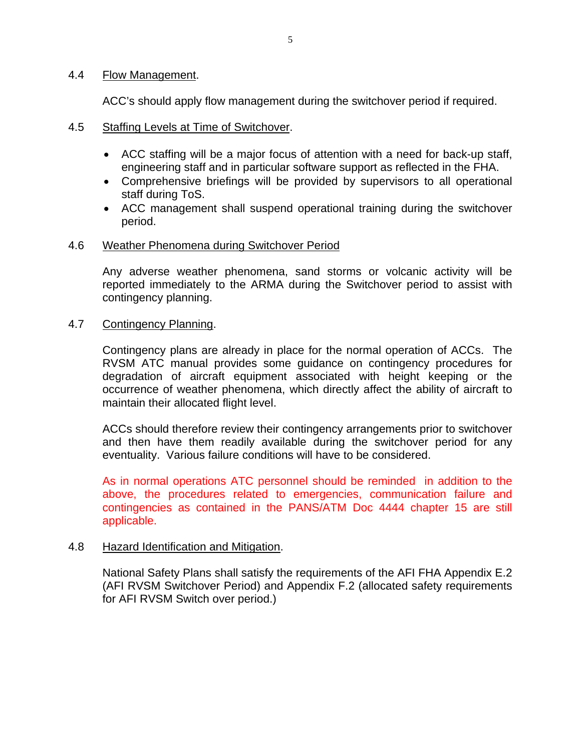#### 4.4 Flow Management.

ACC's should apply flow management during the switchover period if required.

- 4.5 Staffing Levels at Time of Switchover.
	- ACC staffing will be a major focus of attention with a need for back-up staff, engineering staff and in particular software support as reflected in the FHA.
	- Comprehensive briefings will be provided by supervisors to all operational staff during ToS.
	- ACC management shall suspend operational training during the switchover period.

#### 4.6 Weather Phenomena during Switchover Period

Any adverse weather phenomena, sand storms or volcanic activity will be reported immediately to the ARMA during the Switchover period to assist with contingency planning.

#### 4.7 Contingency Planning.

Contingency plans are already in place for the normal operation of ACCs. The RVSM ATC manual provides some guidance on contingency procedures for degradation of aircraft equipment associated with height keeping or the occurrence of weather phenomena, which directly affect the ability of aircraft to maintain their allocated flight level.

ACCs should therefore review their contingency arrangements prior to switchover and then have them readily available during the switchover period for any eventuality. Various failure conditions will have to be considered.

As in normal operations ATC personnel should be reminded in addition to the above, the procedures related to emergencies, communication failure and contingencies as contained in the PANS/ATM Doc 4444 chapter 15 are still applicable.

#### 4.8 Hazard Identification and Mitigation.

National Safety Plans shall satisfy the requirements of the AFI FHA Appendix E.2 (AFI RVSM Switchover Period) and Appendix F.2 (allocated safety requirements for AFI RVSM Switch over period.)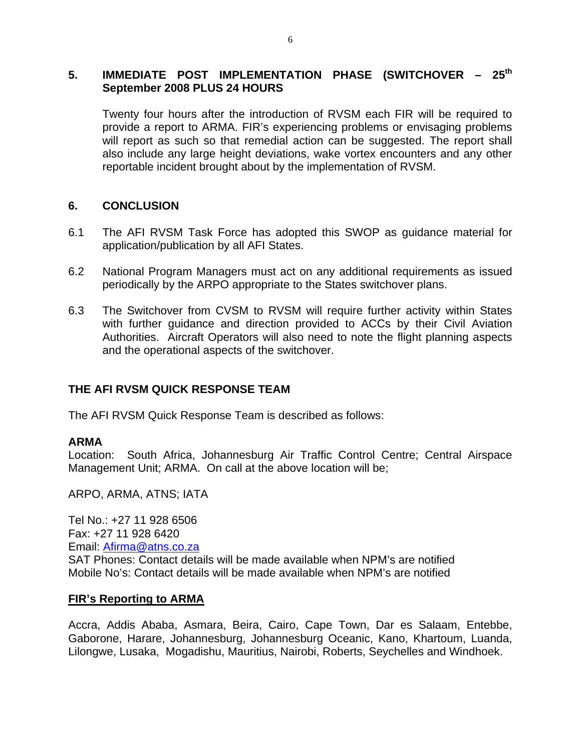# 5. **IMMEDIATE POST IMPLEMENTATION PHASE (SWITCHOVER - 25<sup>th</sup> September 2008 PLUS 24 HOURS**

Twenty four hours after the introduction of RVSM each FIR will be required to provide a report to ARMA. FIR's experiencing problems or envisaging problems will report as such so that remedial action can be suggested. The report shall also include any large height deviations, wake vortex encounters and any other reportable incident brought about by the implementation of RVSM.

## **6. CONCLUSION**

- 6.1 The AFI RVSM Task Force has adopted this SWOP as guidance material for application/publication by all AFI States.
- 6.2 National Program Managers must act on any additional requirements as issued periodically by the ARPO appropriate to the States switchover plans.
- 6.3 The Switchover from CVSM to RVSM will require further activity within States with further guidance and direction provided to ACCs by their Civil Aviation Authorities. Aircraft Operators will also need to note the flight planning aspects and the operational aspects of the switchover.

# **THE AFI RVSM QUICK RESPONSE TEAM**

The AFI RVSM Quick Response Team is described as follows:

#### **ARMA**

Location: South Africa, Johannesburg Air Traffic Control Centre; Central Airspace Management Unit; ARMA. On call at the above location will be;

ARPO, ARMA, ATNS; IATA

Tel No.: +27 11 928 6506 Fax: +27 11 928 6420 Email: Afirma@atns.co.za SAT Phones: Contact details will be made available when NPM's are notified Mobile No's: Contact details will be made available when NPM's are notified

#### **FIR's Reporting to ARMA**

Accra, Addis Ababa, Asmara, Beira, Cairo, Cape Town, Dar es Salaam, Entebbe, Gaborone, Harare, Johannesburg, Johannesburg Oceanic, Kano, Khartoum, Luanda, Lilongwe, Lusaka, Mogadishu, Mauritius, Nairobi, Roberts, Seychelles and Windhoek.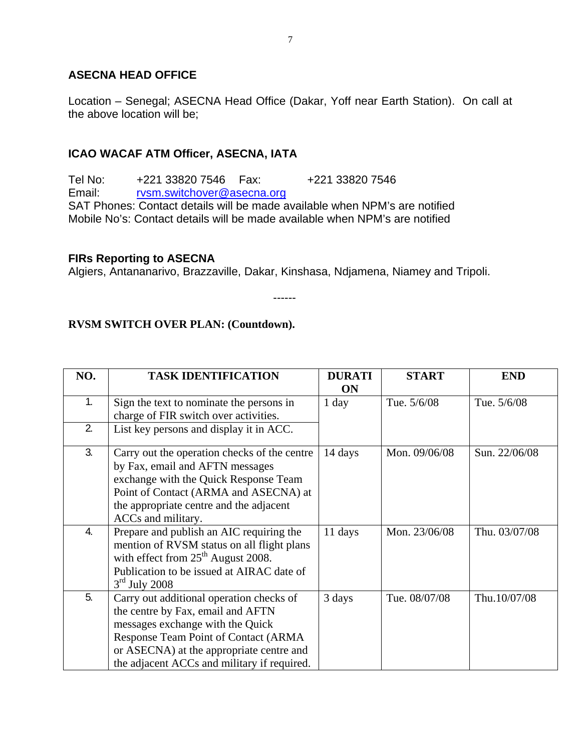# **ASECNA HEAD OFFICE**

Location – Senegal; ASECNA Head Office (Dakar, Yoff near Earth Station). On call at the above location will be;

## **ICAO WACAF ATM Officer, ASECNA, IATA**

Tel No: +221 33820 7546 Fax: +221 33820 7546 Email: rvsm.switchover@asecna.org SAT Phones: Contact details will be made available when NPM's are notified Mobile No's: Contact details will be made available when NPM's are notified

#### **FIRs Reporting to ASECNA**

Algiers, Antananarivo, Brazzaville, Dakar, Kinshasa, Ndjamena, Niamey and Tripoli.

------

## **RVSM SWITCH OVER PLAN: (Countdown).**

| NO. | <b>TASK IDENTIFICATION</b>                                                                                                                                                                                                                           | <b>DURATI</b><br><b>ON</b> | <b>START</b>  | <b>END</b>    |
|-----|------------------------------------------------------------------------------------------------------------------------------------------------------------------------------------------------------------------------------------------------------|----------------------------|---------------|---------------|
| 1.  | Sign the text to nominate the persons in<br>charge of FIR switch over activities.                                                                                                                                                                    | 1 day                      | Tue. 5/6/08   | Tue. 5/6/08   |
| 2.  | List key persons and display it in ACC.                                                                                                                                                                                                              |                            |               |               |
| 3.  | Carry out the operation checks of the centre<br>by Fax, email and AFTN messages<br>exchange with the Quick Response Team<br>Point of Contact (ARMA and ASECNA) at<br>the appropriate centre and the adjacent<br>ACCs and military.                   | 14 days                    | Mon. 09/06/08 | Sun. 22/06/08 |
| 4.  | Prepare and publish an AIC requiring the<br>mention of RVSM status on all flight plans<br>with effect from $25th$ August 2008.<br>Publication to be issued at AIRAC date of<br>$3rd$ July 2008                                                       | 11 days                    | Mon. 23/06/08 | Thu. 03/07/08 |
| 5.  | Carry out additional operation checks of<br>the centre by Fax, email and AFTN<br>messages exchange with the Quick<br>Response Team Point of Contact (ARMA<br>or ASECNA) at the appropriate centre and<br>the adjacent ACCs and military if required. | 3 days                     | Tue. 08/07/08 | Thu.10/07/08  |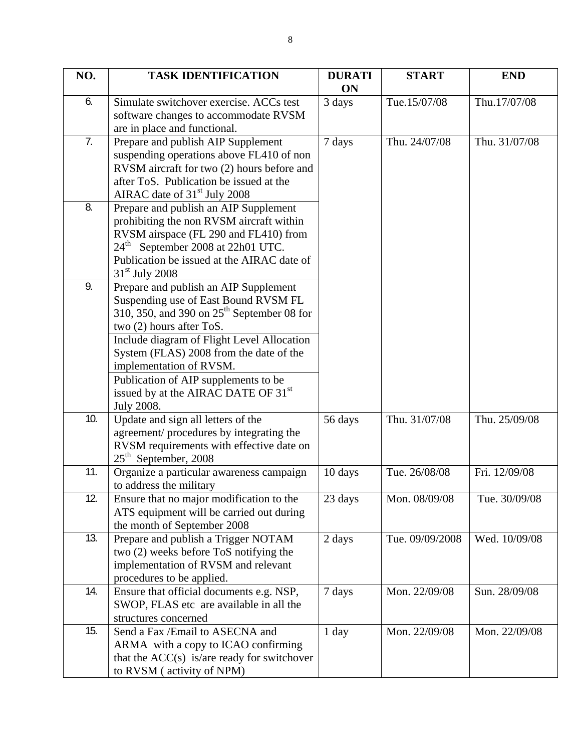| NO. | <b>TASK IDENTIFICATION</b>                                                                                                                                                                                                                    | <b>DURATI</b><br>ON | <b>START</b>    | <b>END</b>    |
|-----|-----------------------------------------------------------------------------------------------------------------------------------------------------------------------------------------------------------------------------------------------|---------------------|-----------------|---------------|
| 6.  | Simulate switchover exercise. ACCs test<br>software changes to accommodate RVSM<br>are in place and functional.                                                                                                                               | 3 days              | Tue.15/07/08    | Thu.17/07/08  |
| 7.  | Prepare and publish AIP Supplement<br>suspending operations above FL410 of non<br>RVSM aircraft for two (2) hours before and<br>after ToS. Publication be issued at the<br>AIRAC date of 31 <sup>st</sup> July 2008                           | 7 days              | Thu. 24/07/08   | Thu. 31/07/08 |
| 8.  | Prepare and publish an AIP Supplement<br>prohibiting the non RVSM aircraft within<br>RVSM airspace (FL 290 and FL410) from<br>24 <sup>th</sup> September 2008 at 22h01 UTC.<br>Publication be issued at the AIRAC date of<br>$31st$ July 2008 |                     |                 |               |
| 9.  | Prepare and publish an AIP Supplement<br>Suspending use of East Bound RVSM FL<br>310, 350, and 390 on $25th$ September 08 for<br>two (2) hours after ToS.                                                                                     |                     |                 |               |
|     | Include diagram of Flight Level Allocation<br>System (FLAS) 2008 from the date of the<br>implementation of RVSM.<br>Publication of AIP supplements to be                                                                                      |                     |                 |               |
|     | issued by at the AIRAC DATE OF 31 <sup>st</sup><br>July 2008.                                                                                                                                                                                 |                     |                 |               |
| 10. | Update and sign all letters of the<br>agreement/procedures by integrating the<br>RVSM requirements with effective date on<br>$25th$ September, 2008                                                                                           | 56 days             | Thu. 31/07/08   | Thu. 25/09/08 |
| 11. | Organize a particular awareness campaign<br>to address the military                                                                                                                                                                           | 10 days             | Tue. 26/08/08   | Fri. 12/09/08 |
| 12. | Ensure that no major modification to the<br>ATS equipment will be carried out during<br>the month of September 2008                                                                                                                           | 23 days             | Mon. 08/09/08   | Tue. 30/09/08 |
| 13. | Prepare and publish a Trigger NOTAM<br>two (2) weeks before ToS notifying the<br>implementation of RVSM and relevant<br>procedures to be applied.                                                                                             | 2 days              | Tue. 09/09/2008 | Wed. 10/09/08 |
| 14. | Ensure that official documents e.g. NSP,<br>SWOP, FLAS etc are available in all the<br>structures concerned                                                                                                                                   | 7 days              | Mon. 22/09/08   | Sun. 28/09/08 |
| 15. | Send a Fax /Email to ASECNA and<br>ARMA with a copy to ICAO confirming<br>that the $ACC(s)$ is/are ready for switchover<br>to RVSM (activity of NPM)                                                                                          | 1 day               | Mon. 22/09/08   | Mon. 22/09/08 |